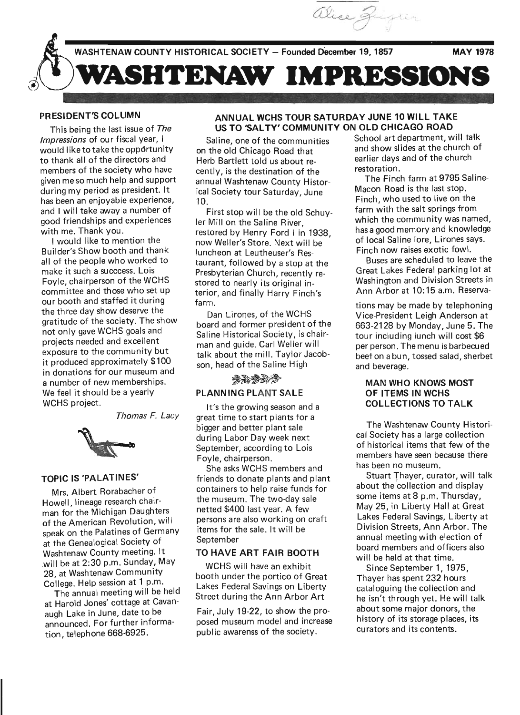

**WASHTENAW COUNTY HISTORICAL SOCIETY - Founded December 19, 1857 MAY 1978** 

**SHTENAW IMPRESSIONS** 

# **PRESIDENT'S COLUMN**

This being the last issue of The Impressions of our fiscal year, I would like to take the opportunity to thank all of the directors and members of the society who have given me so much help and support during my period as president. It has been an enjoyable experience, and I will take away a number of good friendships and experiences with me. Thank you.

I would like to mention the Builder's Show booth and thank all of the people who worked to make it such a succcess. Lois Foyle, chairperson of the WCHS committee and those who set up our booth and staffed it during the three day show deserve the gratitude of the society. The show not only gave WCHS goals and projects needed and excellent exposure to the community but it produced approximately \$100 in donations for our museum and a number of new memberships. We feel it should be a yearly WCHS project.

Thomas F. Lacy



# **TOPIC IS 'PALATINES'**

Mrs. Albert Rorabacher of Howell, lineage research chairman for the Michigan Daughters of the American Revolution, will speak on the Palatines of Germany at the Genealogical Society of Washtenaw County meeting. It will be at 2:30 p.m. Sunday, May 28, at Washtenaw Community Co'liege. Help session at 1 p.m.

The annual meeting will be held at Harold Jones' cottage at Cavanaugh Lake in June, date to be announced. For further information, telephone 668-6925.

# **ANNUAL WCHS TOUR SATURDAY JUNE 10 WILL TAKE US TO 'SALTY' COMMUNITY ON OLD CHICAGO ROAD**

Saline, one of the communities on the old Chicago Road that Herb Bartlett told us about recently, is the destination of the annual Washtenaw County Historical Society tour Saturday, June 10.

First stop will be the old Schuyler Mill on the Saline River, restored by Henry Ford I in 1938, now Weller's Store. Next will be luncheon at Leutheuser's Restaurant, followed by a stop at the Presbyterian Church, recently restored to nearly its original interior, and finally Harry Finch's farm.

Dan Lirones, of the WCHS board and former president of the Saline Historical Society, is chairman and guide. Carl Weller will man and guide. Carrivelier will<br>talk about the mill. Taylor Jacob-<br>son, head of the Saline High<br> $\mathcal{B} \rightarrow \mathcal{B} \rightarrow \mathcal{B}$ son, head of the Saline High

**PLANNING PLANT SALE** 

It's the growing season and a great time to start plants for a bigger and better plant sale during Labor Day week next September, according to Lois Foyle, chairperson.

She asks WCHS members and friends to donate plants and plant containers to help raise funds for the museum. The two-day sale netted \$400 last year. A few persons are also working on craft items for the sale. It will be September

#### **TO HAVE ART FAIR BOOTH**

WCHS will have an exhibit booth under the portico of Great Lakes Federal Savings on Liberty Street during the Ann Arbor Art

Fair, July 19-22, to show the proposed museum model and increase public awarenss of the society.

School art department, will talk and show slides at the church of earlier days and of the church restoration.

The Finch farm at 9795 Saline-Macon Road is the last stop. Finch, who used to live on the farm with the salt springs from which the community was named, has a good memory and knowledge of local Saline lore, Lirones says. Finch now raises exotic fowl.

Buses are scheduled to leave the Great Lakes Federal parking lot at Washington and Division Streets in Ann Arbor at 10: 15 a.m. Reserva-

tions may be made by telephoning Vice-President Leigh Anderson at 663-2128 by Monday, June 5. The tour including lunch will cost \$6 per person. The menu is barbecued beef on a bun, tossed salad, sherbet and beverage.

## **MAN WHO KNOWS MOST OF ITEMS IN WCHS COLLECTIONS TO TALK**

The Washtenaw County Historical Society has a large collection of historical items that few of the members have seen because there has been no museum.

Stuart Thayer, curator, will talk about the collection and display some items at 8 p.m. Thursday, May 25, in Liberty Hall at Great Lakes Federal Savings, Liberty at Division Streets, Ann Arbor. The annual meeting with election of board members and officers also will be held at that time.

Since September 1, 1975, Thayer has spent 232 hours cataloguing the collection and he isn't through yet. He will talk about some major donors, the history of its storage places, its curators and its contents.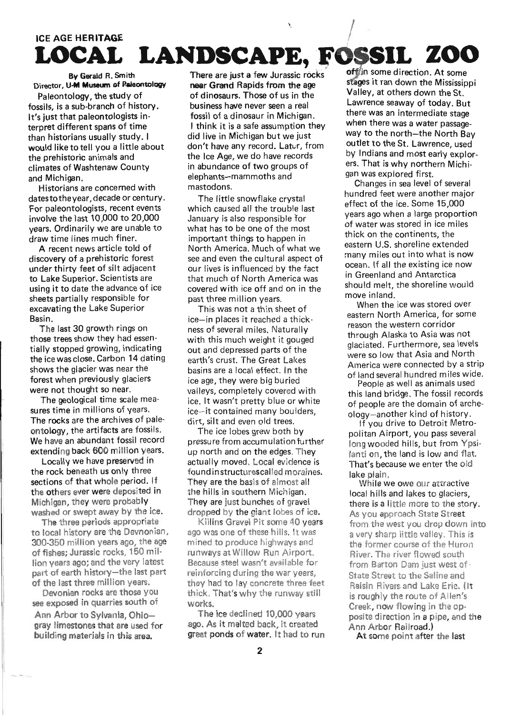# **ICE AGE HERITAGE** LOCAL LANDSCAPE, FOSSIL ZOO

By Gerald R. Smith Director, U-M Museum of Paleontology

Paleontology, the study of fossils, is a sub-branch of history. It's just that paleontologists interpret different spans of time than historians usually study. I would like to tell you a little about the prehistoric animals and climates of Washtenaw County and Michigan.

Historians are concerned with dates to the year, decade or century. For paleontologists, recent events involve the last 10,000 to 20,000 years. Ordinarily we are unable to draw time lines much finer.

A recent news article told of discovery of a prehistoric forest under thirty feet of silt adjacent to Lake Superior, Scientists are using it to date the advance of ice sheets partially responsible for excavating the Lake Superior Basin.

The last 30 growth rings on those trees show they had essentially stopped growing, indicating the ice was close. Carbon 14 dating shows the glacier was near the forest when previously glaciers were not thought so near.

The geological time scale measures time in millions of years. The rocks are the archives of paleontology, the artifacts are fossils. We have an abundant fossil record extending back 600 million years.

Locally we have preserved in the rock beneath us only three sections of that whole period. If the others ever were deposited in Michigan, they were probably washed or swept away by the ice.

The three periods appropriate to local history are the Devnonian, 300-350 million years ago, the age of fishes; Jurassic rocks, 150 million years ago; and the very latest part of earth history-the last part of the last three million years.

Devonian rocks are those you see exposed in quarries south of

Ann Arbor to Sylvania, Ohiogray limestones that are used for building materials in this area.

There are just a few Jurassic rocks near Grand Rapids from the age of dinosaurs. Those of us in the business have never seen a real fossil of a dinosaur in Michigan. I think it is a safe assumption they did live in Michigan but we just don't have any record, Latur, from the Ice Age, we do have records in abundance of two groups of elephants-mammoths and mastodons.

The little snowflake crystal which caused all the trouble last January is also responsible for what has to be one of the most important things to happen in North America. Much of what we see and even the cultural aspect of our lives is influenced by the fact that much of North America was covered with ice off and on in the past three million years.

This was not a thin sheet of ice-in places it reached a thickness of several miles. Naturally with this much weight it gouged out and depressed parts of the earth's crust. The Great Lakes basins are a local effect. In the ice age, they were big buried valleys, completely covered with ice. It wasn't pretty blue or white ice-it contained many boulders. dirt, silt and even old trees.

The ice lobes grew both by pressure from accumulation further up north and on the edges. They actually moved. Local evidence is found instructurescalled moraines. They are the basis of almost all the hills in southern Michigan. They are just bunches of gravel dropped by the giant lobes of ice.

Killins Gravel Pit some 40 years ago was one of these hills. It was mined to produce highways and runways at Willow Run Airport. Because steel wasn't available for reinforcing during the war years. they had to lay concrete three feet thick. That's why the runway still works.

The ice declined 10,000 years ago, As it melted back, it created great ponds of water. It had to run

offlin some direction. At some stages it ran down the Mississinni Valley, at others down the St. Lawrence seaway of today, But there was an intermediate stage when there was a water passageway to the north-the North Bay outlet to the St. Lawrence, used by Indians and most early explorers. That is why northern Michigan was explored first.

Changes in sea level of several hundred feet were another major effect of the ice. Some 15,000 years ago when a large proportion of water was stored in ice miles thick on the continents, the eastern U.S. shoreline extended many miles out into what is now ocean. If all the existing ice now in Greenland and Antarctica should melt, the shoreline would move inland.

When the ice was stored over eastern North America, for some reason the western corridor through Alaska to Asia was not glaciated. Furthermore, sea levels were so low that Asia and North America were connected by a strip of land several hundred miles wide.

People as well as animals used this land bridge. The fossil records of people are the domain of archeology-another kind of history.

If you drive to Detroit Metropolitan Airport, you pass several long wooded hills, but from Ypsilanti on, the land is low and flat. That's because we enter the old lake plain.

While we owe our attractive local hills and lakes to glaciers. there is a little more to the story. As you approach State Street from the west you drop down into a very sharp little valley. This is the former course of the Huron River, The river flowed south from Barton Dam just west of . State Street to the Saline and Raisin Rivers and Lake Erie. (It is roughly the route of Allen's Creek, now flowing in the opposite direction in a pipe, and the Ann Arbor Railroad.)

At some point after the last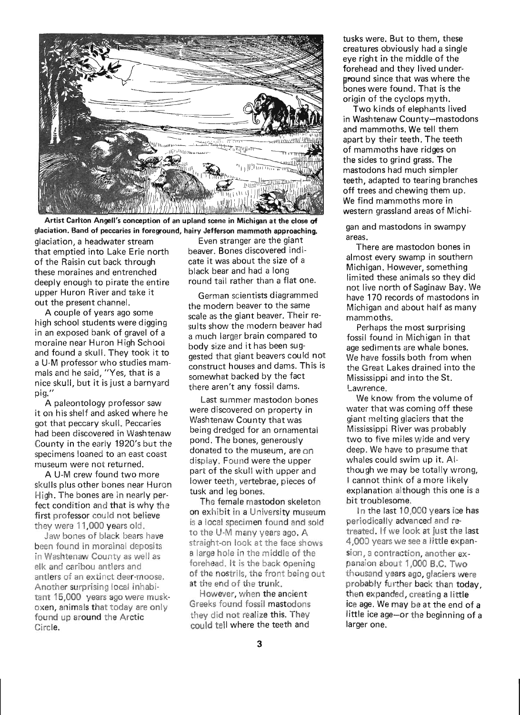

Artist Carlton Angell's conception of an upland scene in Michigan at the close of glaciation. Band of peccaries in foreground, hairy Jefferson mammoth approaching.

glaciation, a headwater stream Even stranger are the giant that emptied into Lake Erie north beaver. Bones discovered indi-<br>of the Raisin cut back through cate it was about the size of a of the Raisin cut back through cate it was about the size<br>these moraines and entrenched black bear and had a long these moraines and entrenched black bear and had a long<br>deeply enough to pirate the entire round tail rather than a flat one. deeply enough to pirate the entire upper Huron River and take it out the present channel.

A couple of years ago some high school students were digging in an exposed bank of gravel of a moraine near Huron High School and found a skull. They took it to a U-M professor who studies mammals and he said, "Yes, that is a nice skull, but it is just a barnyard pig."

A paleontology professor saw it on his shelf and asked where he got that peccary skull. Peccaries had been discovered in Washtenaw County in the early 1920's but the specimens loaned to an east coast museum were not returned.

A U-M crew found two more skulls plus other bones near Huron High. The bones are in nearly perfect condition and that is why the first professor could not believe they were 11,000 years old.

Jaw bones of black bears have been found in morainal deposits in Washtenaw County as well as elk and caribou antlers and antlers of an extinct deer·moose. Another surprising local inhabitant 15,000 years ago were muskoxen, animals that today are only found up around the Arctic Circle.

German scientists diagrammed the modern beaver to the same scale as the giant beaver. Their results show the modern beaver had a much larger brain compared to body size and it has been suggested that giant beavers could not construct houses and dams. This is somewhat backed by the fact there aren't any fossil dams.

Last summer mastodon bones were discovered on property in Washtenaw County that was being dredged for an ornamental pond. The bones, generously donated to the museum, are on display. Found were the upper part of the skull with upper and lower teeth, vertebrae, pieces of tusk and leg bones.

The female mastodon skeleton on exhibit in a University museum is a local specimen found and sold to the U-M many years ago. A straight-on look at the face shows a large hole in the middle of the forehead. It is the back opening of the nostrils, the front being out at the end of the trunk.

However, when the ancient-Greeks found fossil mastodons they did not realize this. They could tell where the teeth and

tusks were. But to them, these creatures obviously had a single eye right in the middle of the forehead and they lived under around since that was where the bones were found. That is the origin of the cyclops myth.

Two kinds of elephants lived in Washtenaw County-mastodons and mammoths. We tell them apart by their teeth. The teeth of mammoths have ridges on the sides to grind grass. The mastodons had much simpler teeth, adapted to tearing branches off trees and chewing them up. We find mammoths more in western grassland areas of Michi-

gan and mastodons in swampy areas.

There are mastodon bones in almost every swamp in southern Michigan. However, something limited these animals so they did not live north of Saginaw Bay. We have 170 records of mastodons in Michigan and about half as many mammoths.

Perhaps the most surprising fossil found in Michigan in that age sediments are whale bones. We have fossils both from when the Great Lakes drained into the Mississippi and into the St. Lawrence.

We know from the volume of water that was coming off these giant melting glaciers that the Mississippi River was probably two to five miles wide and very deep. We have to presume that whales could swim up it. Although we may be totally wrong, I cannot think of a more likely explanation although this one is a bit troublesome.

In the last 10,000 years ice has periodically advanced and retreated. If we look at just the last 4,000 years we see a little expansion, a contraction, another expansion about 1,000 B.C. Two thousand years ago, glaciers were probably further back than today, then expanded, creating a little ice age. We may be at the end of a little ice age-or the beginning of a

larger one.